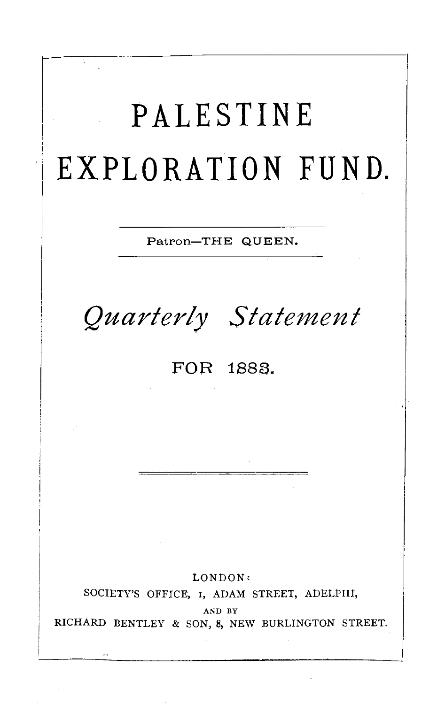**PALESTINE EXPLORATION FUND.**  Patron-THE QUEEN. *Quarterly Statement*  FOR 1883. LONDON: SOCIETY'S OFFICE, 1, ADAM STREET, ADELPHI, AND BY RICHARD BENTLEY & SON, 8, NEW BURLINGTON STREET.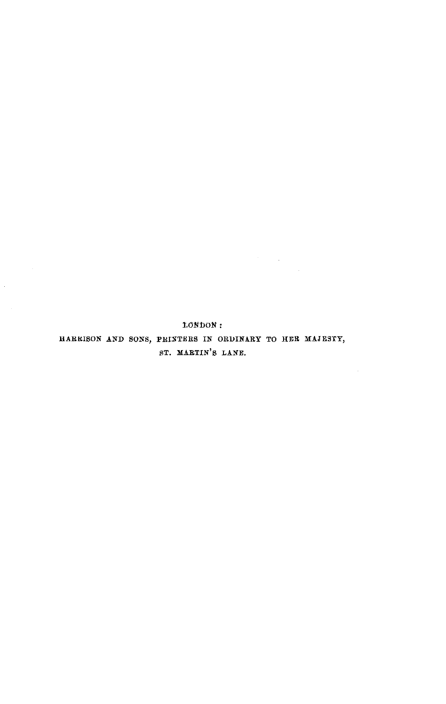LONDON:

HARRISON AND SONS, PRINTERS IN ORDINARY TO HER MAJESTY, ST. MARTIN'S LANE.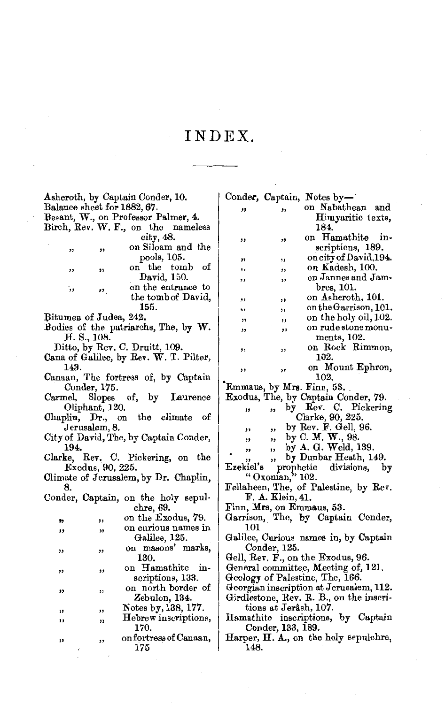## INDEX.

| Asheroth, by Captain Conder, 10.                                  |    |                                             |                                                                  |                       | Conder, Captain, Notes by-              |
|-------------------------------------------------------------------|----|---------------------------------------------|------------------------------------------------------------------|-----------------------|-----------------------------------------|
| Balance sheet for 1882, 67.                                       |    |                                             | "                                                                | ,,                    | on Nabathean and                        |
| Besant, W., on Professor Palmer, 4.                               |    |                                             |                                                                  |                       | Himyaritic texts,                       |
| Birch, Rev. W. F., on the nameless                                |    |                                             |                                                                  |                       | 184.                                    |
|                                                                   |    | city, 48.                                   | "                                                                | "                     | on Hamathite in-                        |
| ,,                                                                | ,, | on Siloam and the                           |                                                                  |                       | scriptions, 189.                        |
|                                                                   |    | pools, 105.                                 | "                                                                | ,,                    | on city of David, 194.                  |
| ,,                                                                | ,, | on the tomb of                              | ٠.                                                               | ,,                    | on Kadesh, 100.                         |
|                                                                   |    | David, 150.                                 | ,,                                                               | ,,                    | on Jannes and Jam-                      |
| ,                                                                 |    | on the entrance to                          |                                                                  |                       | bres, 101.                              |
|                                                                   | "  | the tomb of David,                          | ,,                                                               | ,,                    | on Asheroth, 101.                       |
|                                                                   |    | 155.                                        | ,,                                                               | ,,                    | on the Garrison, 101.                   |
|                                                                   |    |                                             |                                                                  |                       | on the holy oil, 102.                   |
| Bitumen of Judea, 242.<br>Bodies of the patriarchs, The, by $W$ . |    |                                             | ,,                                                               | ,,                    | on rude stone monu-                     |
| H. S., 108.                                                       |    |                                             | ,,                                                               | ,,                    | ments, 102.                             |
| Ditto, by Rev. C. Druitt, 109.                                    |    |                                             |                                                                  |                       | on Rock Rimmon,                         |
| Cana of Galilee, by Rev. W. T. Pilter,                            |    |                                             | ,,                                                               | ,,                    | 102.                                    |
| 143.                                                              |    |                                             |                                                                  |                       |                                         |
|                                                                   |    |                                             | ,,                                                               | ,,                    | on Mount Ephron,<br>102.                |
| Canaan, The fortress of, by Captain                               |    |                                             |                                                                  |                       |                                         |
| Conder, 175.                                                      |    |                                             | Emmaus, by Mrs. Finn, 53.<br>Exodus, The, by Captain Conder, 79. |                       |                                         |
| of,<br>Slopes<br>by<br>Laurence<br>Carmel,                        |    |                                             |                                                                  |                       |                                         |
| Oliphant, 120.                                                    |    |                                             | "                                                                | "                     | by Rev. C. Pickering                    |
| the climate<br>Chaplin, Dr., on<br>оf                             |    |                                             |                                                                  |                       | Clarke, 90, 225.                        |
| Jerusalem, 8.                                                     |    |                                             | ,,                                                               | ,,                    | by Rev. F. Gell, $96$ .                 |
| City of David, The, by Captain Conder,                            |    |                                             | ,,                                                               | ,,                    | by C. M. W., 98.                        |
| 194.                                                              |    |                                             | "                                                                | ,,                    | by $A. G.$ Weld, 139.                   |
| Clarke, Rev. C. Pickering, on<br>the                              |    |                                             | ,,                                                               | ,,                    | by Dunbar Heath, 149.                   |
| Exodus, 90, 225.                                                  |    |                                             | Ezekiel's<br>$\mathbf{prop}$<br>divisions,<br>by                 |                       |                                         |
| Climate of Jerusalem, by Dr. Chaplin,                             |    |                                             | " Oxonian," 102.                                                 |                       |                                         |
| 8.                                                                |    |                                             | Fellaheen, The, of Palestine, by Rev.                            |                       |                                         |
| Conder, Captain, on the holy sepul-                               |    |                                             | F. A. Klein, 41.                                                 |                       |                                         |
|                                                                   |    | chre, 69.                                   |                                                                  |                       | Finn, Mrs, on Emmaus, 53.               |
| ,,                                                                | ,, | on the Exodus, 79.                          |                                                                  |                       | Garrison, The, by Captain Conder,       |
| ,,                                                                | ,, | on curious names in                         | 101                                                              |                       |                                         |
|                                                                   |    | Galilee, 125.                               |                                                                  |                       | Galilee, Curious names in, by Captain   |
|                                                                   | ,, | on masons' marks,                           |                                                                  | Conder, 125.          |                                         |
| ,,                                                                |    | 130.                                        |                                                                  |                       | Gell, Rev. F., on the Exodus, 96.       |
|                                                                   |    | on Hamathite in-                            |                                                                  |                       | General committee, Meeting of, 121.     |
| ,,                                                                | ,, | scriptions, 133.                            |                                                                  |                       | Geology of Palestine, The, 166.         |
|                                                                   |    | on north border of                          |                                                                  |                       | Georgian inscription at Jerusalem, 112. |
| "                                                                 | ,, | Zebulon, 134.                               |                                                                  |                       | Girdlestone, Rev. R. B., on the inscri- |
|                                                                   |    |                                             |                                                                  | tions at Jerâsh, 107. |                                         |
| "                                                                 | ,, | Notes by, 138, 177.<br>Hebrew inscriptions, |                                                                  |                       | Hamathite inscriptions, by Captain      |
| ,,                                                                | "  | 170.                                        |                                                                  | Conder, 133, 189.     |                                         |
|                                                                   |    | on fortress of Canaan,                      |                                                                  |                       | Harper, H. A., on the holy sepulchre,   |
| "                                                                 | ,, | 175                                         | 148.                                                             |                       |                                         |
|                                                                   |    |                                             |                                                                  |                       |                                         |